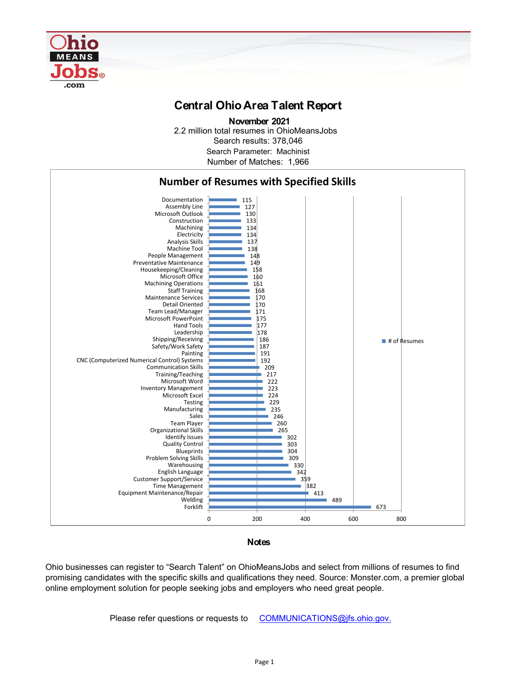

## **Central Ohio Area Talent Report**

2.2 million total resumes in OhioMeansJobs Search results: 378,046 Number of Matches: 1,966  **November 2021** Search Parameter: Machinist



## **Notes**

Ohio businesses can register to "Search Talent" on OhioMeansJobs and select from millions of resumes to find promising candidates with the specific skills and qualifications they need. Source: Monster.com, a premier global online employment solution for people seeking jobs and employers who need great people.

Please refer questions or requests to [COMMUNICATIONS@jfs.ohio.gov.](mailto:COMMUNICATIONS@jfs.ohio.gov.)